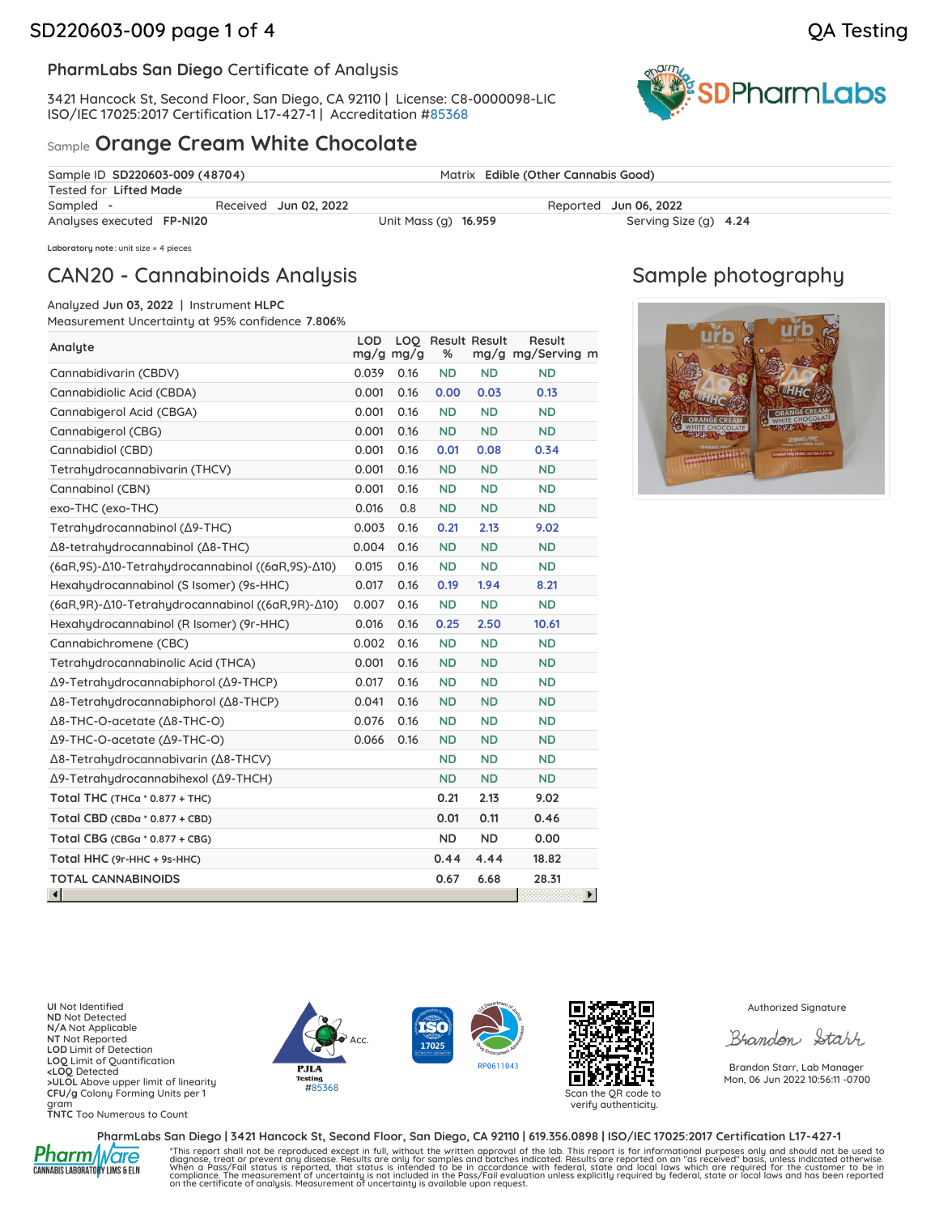3421 Hancock St, Second Floor, San Diego, CA 92110 | License: C8-0000098-LIC ISO/IEC 17025:2017 Certification L17-427-1 | Accreditation [#85368](https://www.dropbox.com/s/l983yoy8rtdtn0q/L21-599%20PharmLabs%20San%20Diego.pdf?dl=0)

### Sample **Orange Cream White Chocolate**



| Sample ID SD220603-009 (48704) |                       |                      | Matrix Edible (Other Cannabis Good) |  |
|--------------------------------|-----------------------|----------------------|-------------------------------------|--|
| Tested for Lifted Made         |                       |                      |                                     |  |
| Sampled -                      | Received Jun 02, 2022 |                      | Reported Jun 06, 2022               |  |
| Analyses executed FP-NI20      |                       | Unit Mass (g) 16.959 | Serving Size (g) 4.24               |  |

**Laboratory note**: unit size = 4 pieces

## CAN20 - Cannabinoids Analysis

Analyzed **Jun 03, 2022** | Instrument **HLPC**

Measurement Uncertainty at 95% confidence **7.806**%

| Analyte                                                  | <b>LOD</b> | LOQ<br>$mg/g$ mg/g | <b>Result Result</b><br>% |           | Result<br>mg/g mg/Serving m |
|----------------------------------------------------------|------------|--------------------|---------------------------|-----------|-----------------------------|
| Cannabidivarin (CBDV)                                    | 0.039      | 0.16               | <b>ND</b>                 | <b>ND</b> | <b>ND</b>                   |
| Cannabidiolic Acid (CBDA)                                | 0.001      | 0.16               | 0.00                      | 0.03      | 0.13                        |
| Cannabigerol Acid (CBGA)                                 | 0.001      | 0.16               | <b>ND</b>                 | <b>ND</b> | <b>ND</b>                   |
| Cannabigerol (CBG)                                       | 0.001      | 0.16               | <b>ND</b>                 | <b>ND</b> | <b>ND</b>                   |
| Cannabidiol (CBD)                                        | 0.001      | 0.16               | 0.01                      | 0.08      | 0.34                        |
| Tetrahydrocannabivarin (THCV)                            | 0.001      | 0.16               | <b>ND</b>                 | <b>ND</b> | <b>ND</b>                   |
| Cannabinol (CBN)                                         | 0.001      | 0.16               | <b>ND</b>                 | <b>ND</b> | <b>ND</b>                   |
| exo-THC (exo-THC)                                        | 0.016      | 0.8                | <b>ND</b>                 | <b>ND</b> | <b>ND</b>                   |
| Tetrahudrocannabinol (Δ9-THC)                            | 0.003      | 0.16               | 0.21                      | 2.13      | 9.02                        |
| Δ8-tetrahydrocannabinol (Δ8-THC)                         | 0.004      | 0.16               | <b>ND</b>                 | <b>ND</b> | <b>ND</b>                   |
| (6αR,9S)-Δ10-Tetrahydrocannabinol ((6αR,9S)-Δ10)         | 0.015      | 0.16               | <b>ND</b>                 | <b>ND</b> | <b>ND</b>                   |
| Hexahudrocannabinol (S Isomer) (9s-HHC)                  | 0.017      | 0.16               | 0.19                      | 1.94      | 8.21                        |
| (6αR, 9R) - Δ10 - Tetrahydrocannabinol ((6αR, 9R) - Δ10) | 0.007      | 0.16               | <b>ND</b>                 | <b>ND</b> | <b>ND</b>                   |
| Hexahudrocannabinol (R Isomer) (9r-HHC)                  | 0.016      | 0.16               | 0.25                      | 2.50      | 10.61                       |
| Cannabichromene (CBC)                                    | 0.002      | 0.16               | <b>ND</b>                 | <b>ND</b> | <b>ND</b>                   |
| Tetrahudrocannabinolic Acid (THCA)                       | 0.001      | 0.16               | <b>ND</b>                 | <b>ND</b> | <b>ND</b>                   |
| Δ9-Tetrahydrocannabiphorol (Δ9-THCP)                     | 0.017      | 0.16               | <b>ND</b>                 | <b>ND</b> | <b>ND</b>                   |
| Δ8-Tetrahydrocannabiphorol (Δ8-THCP)                     | 0.041      | 0.16               | <b>ND</b>                 | <b>ND</b> | <b>ND</b>                   |
| Δ8-THC-O-acetate (Δ8-THC-O)                              | 0.076      | 0.16               | <b>ND</b>                 | <b>ND</b> | <b>ND</b>                   |
| Δ9-THC-O-acetate (Δ9-THC-O)                              | 0.066      | 0.16               | <b>ND</b>                 | <b>ND</b> | <b>ND</b>                   |
| Δ8-Tetrahydrocannabivarin (Δ8-THCV)                      |            |                    | <b>ND</b>                 | <b>ND</b> | <b>ND</b>                   |
| Δ9-Tetrahydrocannabihexol (Δ9-THCH)                      |            |                    | <b>ND</b>                 | <b>ND</b> | <b>ND</b>                   |
| Total THC (THCa * 0.877 + THC)                           |            |                    | 0.21                      | 2.13      | 9.02                        |
| Total CBD (CBDa * 0.877 + CBD)                           |            |                    | 0.01                      | 0.11      | 0.46                        |
| Total CBG (CBGa $*$ 0.877 + CBG)                         |            |                    | <b>ND</b>                 | <b>ND</b> | 0.00                        |
| Total HHC (9r-HHC + 9s-HHC)                              |            |                    | 0.44                      | 4.44      | 18.82                       |
| <b>TOTAL CANNABINOIDS</b>                                |            |                    | 0.67                      | 6.68      | 28.31                       |
| ۵Î                                                       |            |                    |                           |           |                             |

## Sample photography



**UI** Not Identified **ND** Not Detected **N/A** Not Applicable **NT** Not Reported **LOD** Limit of Detection **LOQ** Limit of Quantification **<LOQ** Detected **>ULOL** Above upper limit of linearity **CFU/g** Colony Forming Units per 1 gram **TNTC** Too Numerous to Count







verify authenticity.

Authorized Signature

Brandon Starr

Brandon Starr, Lab Manager Mon, 06 Jun 2022 10:56:11 -0700



PharmLabs San Diego | 3421 Hancock St, Second Floor, San Diego, CA 92110 | 619.356.0898 | ISO/IEC 17025:2017 Certification L17-427-1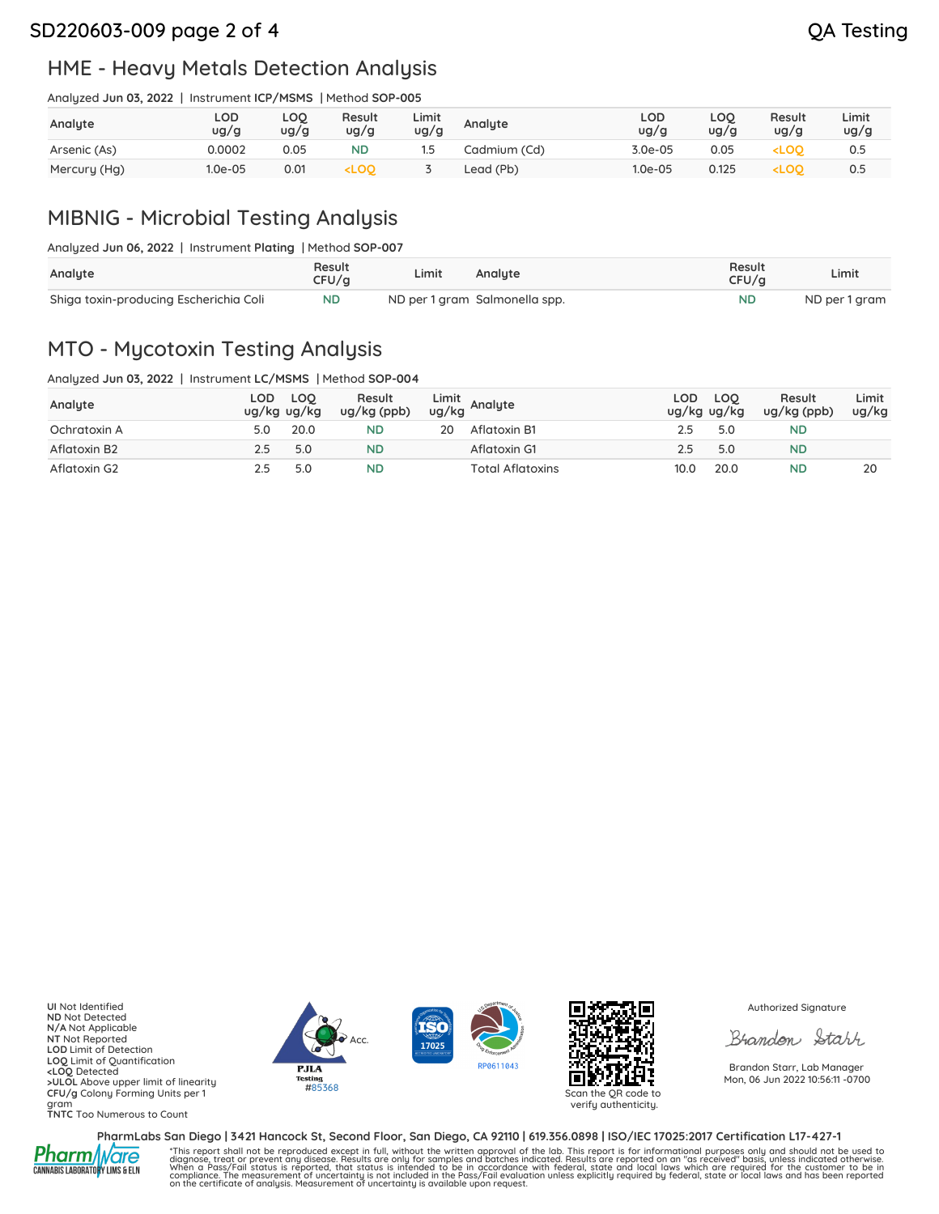### SD220603-009 page 2 of 4 QA Testing

## HME - Heavy Metals Detection Analysis

Analyzed **Jun 03, 2022** | Instrument **ICP/MSMS** | Method **SOP-005**

| Analyte      | LOD<br>ug/g | LOQ<br>ug/g | Result<br>ug/g                                                                                                                    | Limit<br>ug/g | Analyte      | LOD<br>ug/g | LOQ<br>ug/g | Result<br>ug/g                  | Limit<br>ug/g |
|--------------|-------------|-------------|-----------------------------------------------------------------------------------------------------------------------------------|---------------|--------------|-------------|-------------|---------------------------------|---------------|
| Arsenic (As) | 0.0002      | 0.05        | <b>ND</b>                                                                                                                         |               | Cadmium (Cd) | $3.0e-05$   | 0.05        | <loo< td=""><td>0.5</td></loo<> | 0.5           |
| Mercury (Hg) | 1.0e-05     | 0.01        | <loo< td=""><td></td><td>Lead (Pb)</td><td><math>1.0e-05</math></td><td>0.125</td><td><loo< td=""><td>0.5</td></loo<></td></loo<> |               | Lead (Pb)    | $1.0e-05$   | 0.125       | <loo< td=""><td>0.5</td></loo<> | 0.5           |

# MIBNIG - Microbial Testing Analysis

| Analyte                                | Result<br>CFU/a | Limit | Analute                       | Result<br>CFU/a | Limit         |
|----------------------------------------|-----------------|-------|-------------------------------|-----------------|---------------|
| Shiga toxin-producing Escherichia Coli | <b>ND</b>       |       | ND per 1 gram Salmonella spp. | <b>ND</b>       | ND per 1 gram |

### MTO - Mycotoxin Testing Analysis

Analyzed **Jun 03, 2022** | Instrument **LC/MSMS** | Method **SOP-004**

| Andigzed Jun 03, 2022   Instrument LC/MSMS   Method SOP-004 |         |                      |
|-------------------------------------------------------------|---------|----------------------|
| Annuito                                                     | LOD LOO | Result Limit Anglute |

| Analyte      | ug/kg ug/kg | LOD LOO | Result<br>$ug/kg$ (ppb) |    | Limit<br>ug/kg Analyte  | LOD  | LOO<br>ug/kg ug/kg | Result<br>ug/kg (ppb) | Limit<br>ug/kg |
|--------------|-------------|---------|-------------------------|----|-------------------------|------|--------------------|-----------------------|----------------|
| Ochratoxin A | 5.0         | 20.0    | ND                      | 20 | Aflatoxin B1            | 2.5  | 5.0                | ND                    |                |
| Aflatoxin B2 |             | 5.0     | <b>ND</b>               |    | Aflatoxin G1            | 2.5  | 5.0                | ND                    |                |
| Aflatoxin G2 |             | 5.0     | ND                      |    | <b>Total Aflatoxins</b> | 10.0 | 20.0               | ND                    | 20             |

**UI** Not Identified **ND** Not Detected **N/A** Not Applicable **NT** Not Reported **LOD** Limit of Detection **LOQ** Limit of Quantification **<LOQ** Detected **>ULOL** Above upper limit of linearity **CFU/g** Colony Forming Units per 1 gram **TNTC** Too Numerous to Count







verify authenticity.

Authorized Signature

Brandon Starr

Brandon Starr, Lab Manager Mon, 06 Jun 2022 10:56:11 -0700

**Pharm/Ware** 

PharmLabs San Diego | 3421 Hancock St, Second Floor, San Diego, CA 92110 | 619.356.0898 | ISO/IEC 17025:2017 Certification L17-427-1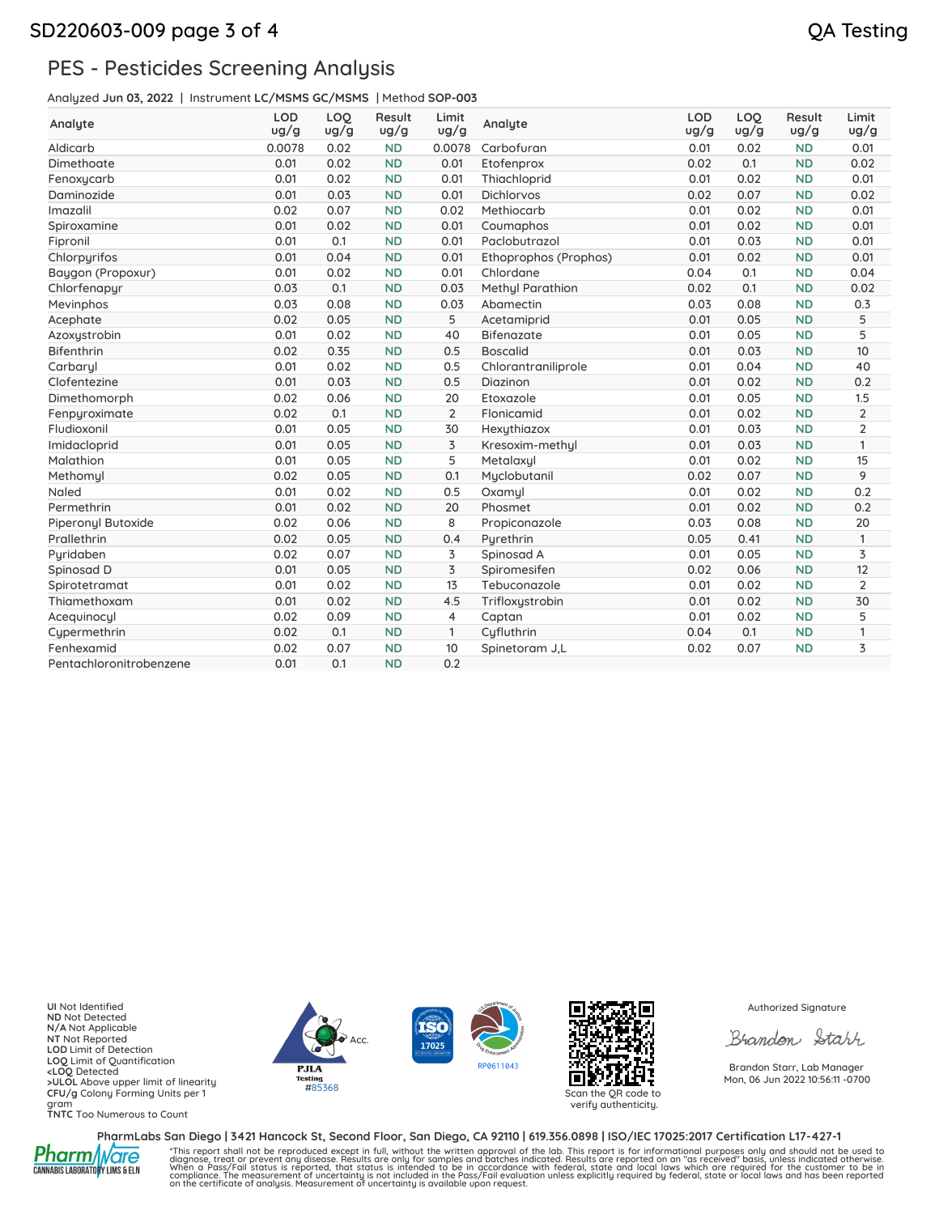## PES - Pesticides Screening Analysis

Analyzed **Jun 03, 2022** | Instrument **LC/MSMS GC/MSMS** | Method **SOP-003**

| Analyte                 | <b>LOD</b><br>ug/g | LOO<br>ug/g | Result<br>ug/g | Limit<br>ug/g  | Analyte               | <b>LOD</b><br>ug/g | LOQ<br>ug/g | Result<br>ug/g | Limit<br>ug/g  |
|-------------------------|--------------------|-------------|----------------|----------------|-----------------------|--------------------|-------------|----------------|----------------|
| Aldicarb                | 0.0078             | 0.02        | <b>ND</b>      | 0.0078         | Carbofuran            | 0.01               | 0.02        | <b>ND</b>      | 0.01           |
| Dimethoate              | 0.01               | 0.02        | <b>ND</b>      | 0.01           | Etofenprox            | 0.02               | 0.1         | <b>ND</b>      | 0.02           |
| Fenoxycarb              | 0.01               | 0.02        | <b>ND</b>      | 0.01           | Thiachloprid          | 0.01               | 0.02        | <b>ND</b>      | 0.01           |
| Daminozide              | 0.01               | 0.03        | <b>ND</b>      | 0.01           | <b>Dichlorvos</b>     | 0.02               | 0.07        | <b>ND</b>      | 0.02           |
| Imazalil                | 0.02               | 0.07        | <b>ND</b>      | 0.02           | Methiocarb            | 0.01               | 0.02        | <b>ND</b>      | 0.01           |
| Spiroxamine             | 0.01               | 0.02        | <b>ND</b>      | 0.01           | Coumaphos             | 0.01               | 0.02        | <b>ND</b>      | 0.01           |
| Fipronil                | 0.01               | 0.1         | <b>ND</b>      | 0.01           | Paclobutrazol         | 0.01               | 0.03        | <b>ND</b>      | 0.01           |
| Chlorpyrifos            | 0.01               | 0.04        | <b>ND</b>      | 0.01           | Ethoprophos (Prophos) | 0.01               | 0.02        | <b>ND</b>      | 0.01           |
| Baygon (Propoxur)       | 0.01               | 0.02        | <b>ND</b>      | 0.01           | Chlordane             | 0.04               | 0.1         | <b>ND</b>      | 0.04           |
| Chlorfenapyr            | 0.03               | 0.1         | <b>ND</b>      | 0.03           | Methyl Parathion      | 0.02               | 0.1         | <b>ND</b>      | 0.02           |
| Mevinphos               | 0.03               | 0.08        | <b>ND</b>      | 0.03           | Abamectin             | 0.03               | 0.08        | <b>ND</b>      | 0.3            |
| Acephate                | 0.02               | 0.05        | <b>ND</b>      | 5              | Acetamiprid           | 0.01               | 0.05        | <b>ND</b>      | 5              |
| Azoxystrobin            | 0.01               | 0.02        | <b>ND</b>      | 40             | <b>Bifenazate</b>     | 0.01               | 0.05        | <b>ND</b>      | 5              |
| <b>Bifenthrin</b>       | 0.02               | 0.35        | <b>ND</b>      | 0.5            | <b>Boscalid</b>       | 0.01               | 0.03        | <b>ND</b>      | 10             |
| Carbaryl                | 0.01               | 0.02        | <b>ND</b>      | 0.5            | Chlorantraniliprole   | 0.01               | 0.04        | <b>ND</b>      | 40             |
| Clofentezine            | 0.01               | 0.03        | <b>ND</b>      | 0.5            | Diazinon              | 0.01               | 0.02        | <b>ND</b>      | 0.2            |
| Dimethomorph            | 0.02               | 0.06        | <b>ND</b>      | 20             | Etoxazole             | 0.01               | 0.05        | <b>ND</b>      | 1.5            |
| Fenpyroximate           | 0.02               | 0.1         | <b>ND</b>      | $\overline{2}$ | Flonicamid            | 0.01               | 0.02        | <b>ND</b>      | $\overline{2}$ |
| Fludioxonil             | 0.01               | 0.05        | <b>ND</b>      | 30             | Hexythiazox           | 0.01               | 0.03        | <b>ND</b>      | $\overline{2}$ |
| Imidacloprid            | 0.01               | 0.05        | <b>ND</b>      | 3              | Kresoxim-methul       | 0.01               | 0.03        | <b>ND</b>      | 1              |
| Malathion               | 0.01               | 0.05        | <b>ND</b>      | 5              | Metalaxyl             | 0.01               | 0.02        | <b>ND</b>      | 15             |
| Methomul                | 0.02               | 0.05        | <b>ND</b>      | 0.1            | Myclobutanil          | 0.02               | 0.07        | <b>ND</b>      | 9              |
| Naled                   | 0.01               | 0.02        | <b>ND</b>      | 0.5            | Oxamul                | 0.01               | 0.02        | <b>ND</b>      | 0.2            |
| Permethrin              | 0.01               | 0.02        | <b>ND</b>      | 20             | Phosmet               | 0.01               | 0.02        | <b>ND</b>      | 0.2            |
| Piperonyl Butoxide      | 0.02               | 0.06        | <b>ND</b>      | 8              | Propiconazole         | 0.03               | 0.08        | <b>ND</b>      | 20             |
| Prallethrin             | 0.02               | 0.05        | <b>ND</b>      | 0.4            | Pyrethrin             | 0.05               | 0.41        | <b>ND</b>      | 1              |
| Pyridaben               | 0.02               | 0.07        | <b>ND</b>      | 3              | Spinosad A            | 0.01               | 0.05        | <b>ND</b>      | 3              |
| Spinosad D              | 0.01               | 0.05        | <b>ND</b>      | 3              | Spiromesifen          | 0.02               | 0.06        | <b>ND</b>      | 12             |
| Spirotetramat           | 0.01               | 0.02        | <b>ND</b>      | 13             | Tebuconazole          | 0.01               | 0.02        | <b>ND</b>      | $\overline{2}$ |
| Thiamethoxam            | 0.01               | 0.02        | <b>ND</b>      | 4.5            | Trifloxystrobin       | 0.01               | 0.02        | <b>ND</b>      | 30             |
| Acequinocyl             | 0.02               | 0.09        | <b>ND</b>      | $\overline{4}$ | Captan                | 0.01               | 0.02        | <b>ND</b>      | 5              |
| Cypermethrin            | 0.02               | 0.1         | <b>ND</b>      | $\mathbf{1}$   | Cyfluthrin            | 0.04               | 0.1         | <b>ND</b>      | 1              |
| Fenhexamid              | 0.02               | 0.07        | <b>ND</b>      | 10             | Spinetoram J.L        | 0.02               | 0.07        | <b>ND</b>      | 3              |
| Pentachloronitrobenzene | 0.01               | 0.1         | <b>ND</b>      | 0.2            |                       |                    |             |                |                |

**UI** Not Identified **ND** Not Detected **N/A** Not Applicable **NT** Not Reported **LOD** Limit of Detection **LOQ** Limit of Quantification **<LOQ** Detected **>ULOL** Above upper limit of linearity **CFU/g** Colony Forming Units per 1 gram **TNTC** Too Numerous to Count







verify authenticity.

Authorized Signature

Brandon Starr

Brandon Starr, Lab Manager Mon, 06 Jun 2022 10:56:11 -0700

**Pharm/Ware** 

PharmLabs San Diego | 3421 Hancock St, Second Floor, San Diego, CA 92110 | 619.356.0898 | ISO/IEC 17025:2017 Certification L17-427-1